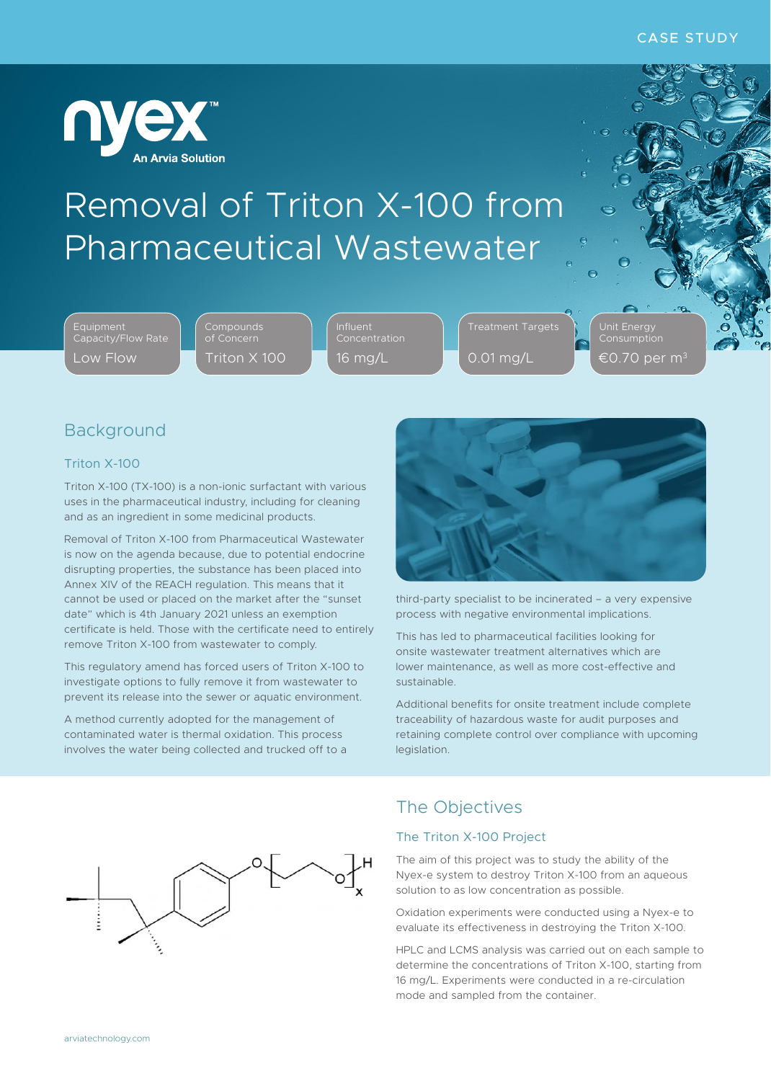

# Removal of Triton X-100 from Pharmaceutical Wastewater

Equipment Capacity/Flow Rate Low Flow

Triton X 100

16 mg/L

Treatment Targets 0.01 mg/L

Unit Energy €0.70 per m $^{\circ}$ 

# Background

## Triton X-100

Triton X-100 (TX-100) is a non-ionic surfactant with various uses in the pharmaceutical industry, including for cleaning and as an ingredient in some medicinal products.

Removal of Triton X-100 from Pharmaceutical Wastewater is now on the agenda because, due to potential endocrine disrupting properties, the substance has been placed into Annex XIV of the REACH regulation. This means that it cannot be used or placed on the market after the "sunset date" which is 4th January 2021 unless an exemption certificate is held. Those with the certificate need to entirely remove Triton X-100 from wastewater to comply.

This regulatory amend has forced users of Triton X-100 to investigate options to fully remove it from wastewater to prevent its release into the sewer or aquatic environment.

A method currently adopted for the management of contaminated water is thermal oxidation. This process involves the water being collected and trucked off to a



third-party specialist to be incinerated – a very expensive process with negative environmental implications.

This has led to pharmaceutical facilities looking for onsite wastewater treatment alternatives which are lower maintenance, as well as more cost-effective and sustainable.

Additional benefits for onsite treatment include complete traceability of hazardous waste for audit purposes and retaining complete control over compliance with upcoming legislation.



## The Objectives

## The Triton X-100 Project

The aim of this project was to study the ability of the Nyex-e system to destroy Triton X-100 from an aqueous solution to as low concentration as possible.

Oxidation experiments were conducted using a Nyex-e to evaluate its effectiveness in destroying the Triton X-100.

HPLC and LCMS analysis was carried out on each sample to determine the concentrations of Triton X-100, starting from 16 mg/L. Experiments were conducted in a re-circulation mode and sampled from the container.